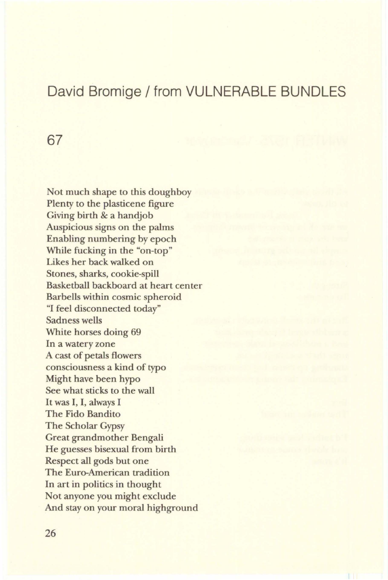## David Bromige / from VULNERABLE BUNDLES

67

Not much shape to this doughboy Plenty to the plasticene figure Giving birth & a handjob Auspicious signs on the palms Enabling numbering by epoch While fucking in the "on-top" Likes her back walked on Stones, sharks, cookie-spill Basketball backboard at heart center Barbells within cosmic spheroid "I feel disconnected today" Sadness wells White horses doing 69 In a watery zone A cast of petals flowers consciousness a kind of typo Might have been hypo See what sticks to the wall It was I, I, always I The Fido Bandito The Scholar Gypsy Great grandmother Bengali He guesses bisexual from birth Respect all gods but one The Euro-American tradition In art in politics in thought Not anyone you might exclude And stay on your moral highground

26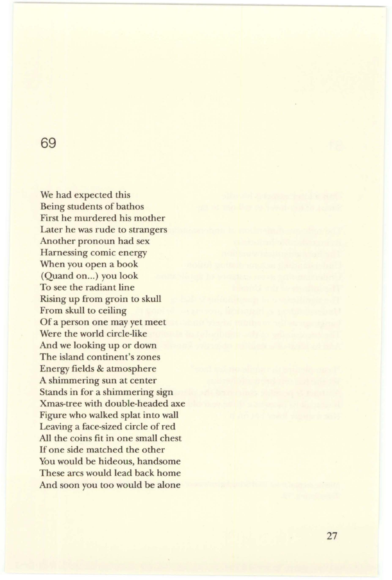## 69

We had expected this Being students of bathos First he murdered his mother Later he was rude to strangers Another pronoun had sex Harnessing comic energy When you open a book (Quand on...) you look To see the radiant line Rising up from groin to skull From skull to ceiling Of a person one may yet meet Were the world circle-like And we looking up or down The island continent's zones Energy fields & atmosphere A shimmering sun at center Stands in for a shimmering sign Xmas-tree with double-headed axe Figure who walked splat into wall Leaving a face-sized circle of red All the coins fit in one small chest If one side matched the other You would be hideous, handsome These arcs would lead back home And soon you too would be alone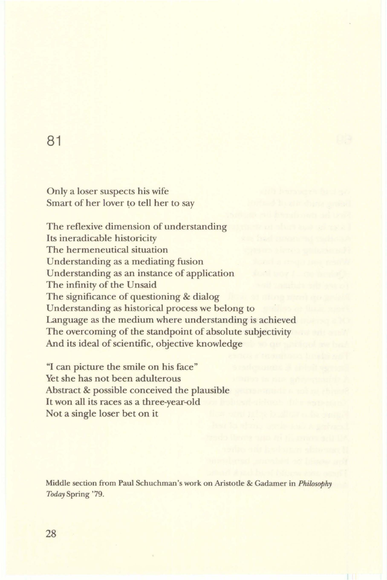## 81

Only a loser suspects his wife Smart of her lover to tell her to say

The reflexive dimension of understanding Its ineradicable historicity The hermeneutical situation Understanding as a mediating fusion Understanding as an instance of application The infinity of the Unsaid The significance of questioning & dialog Understanding as historical process we belong to Language as the medium where understanding is achieved The overcoming of the standpoint of absolute subjectivity And its ideal of scientific, objective knowledge

"I can picture the smile on his face" Yet she has not been adulterous Abstract & possible conceived the plausible It won all its races as a three-year-old Not a single loser bet on it

Middle section from Paul Schuchman's work on Aristotle & Gadamer in *Philosophy Today* Spring '79.